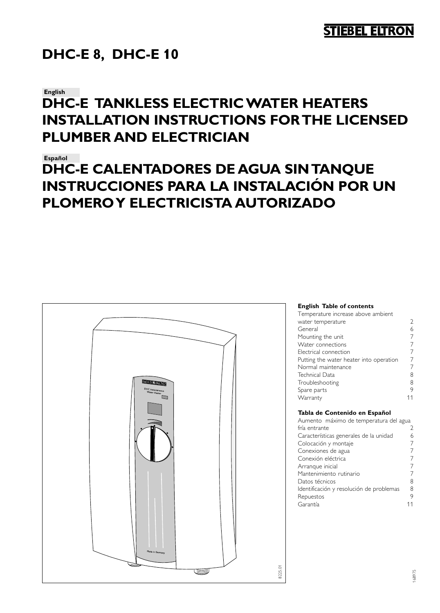# **STIEBEL ELTRON**

# **DHC-E 8, DHC-E 10**

#### **English**

# **DHC-E TANKLESS ELECTRIC WATER HEATERS INSTALLATION INSTRUCTIONS FOR THE LICENSED PLUMBER AND ELECTRICIAN**

#### **Español**

# **DHC-E CALENTADORES DE AGUA SIN TANQUE INSTRUCCIONES PARA LA INSTALACIÓN POR UN PLOMERO Y ELECTRICISTA AUTORIZADO**

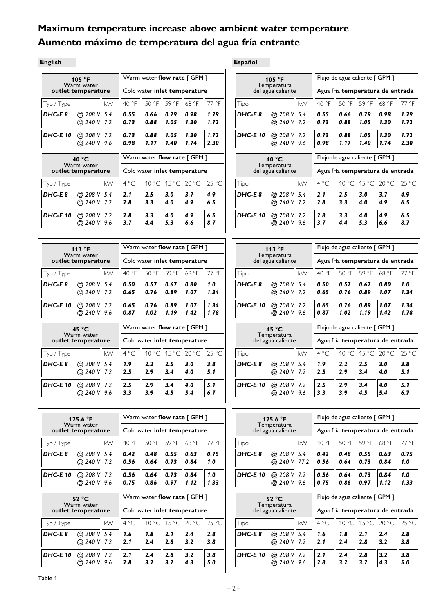# **Maximum temperature increase above ambient water temperature Aumento máximo de temperatura del agua fría entrante**

**English Español** Cold water **inlet temperature** Warm water **flow rate** [ GPM ] Warm water **outlet temperature** *DHC-E 8 @ 208 V 5.4 0.55 0.66 0.79 0.98 1.29 @ 240 V* 7.2 **0.73** 0.88 1.05  $\boxed{\text{Typ}/\text{Type}}$  kW  $\boxed{40 \text{ °F}}$  50 °F 59 °F 68 °F 77 °F

| <b>DHC-E 10</b> | @ 208 V 7.2<br>@ 240 V 9.6       |     | 0.73<br>0.98                 | 0.88<br>1.17                       | 1.05<br>1.40      | 1.30<br>1.74 | 1.72<br>2.30 |  |  |
|-----------------|----------------------------------|-----|------------------------------|------------------------------------|-------------------|--------------|--------------|--|--|
| 40 °C           |                                  |     |                              | Warm water <b>flow rate</b> [GPM ] |                   |              |              |  |  |
|                 | Warm water<br>outlet temperature |     | Cold water inlet temperature |                                    |                   |              |              |  |  |
| Typ / Type      |                                  | kW  | $4^{\circ}$ C                |                                    | 10 °C 15 °C 20 °C |              | 25 °C        |  |  |
| DHC-E8          | @ 208 V 5.4<br>@ 240 V 7.2       |     | 2.1<br>2.8                   | 2.5<br>3.3                         | 3.0<br>4.0        | 3.7<br>4.9   | 4.9<br>6.5   |  |  |
| <b>DHC-E 10</b> | @ 208 V<br>@ 240 V 9.6           | 7.2 | 2.8<br>3.7                   | 3.3<br>4.4                         | 4.0<br>5.3        | 4.9<br>6.6   | 6.5<br>8.7   |  |  |

| 105 $\degree$ F<br>Temperatura<br>del agua caliente |                                  | Flujo de agua caliente [ GPM ]   |                                |              |                   |                                  |              |
|-----------------------------------------------------|----------------------------------|----------------------------------|--------------------------------|--------------|-------------------|----------------------------------|--------------|
|                                                     |                                  | Agua fría temperatura de entrada |                                |              |                   |                                  |              |
| Tipo                                                |                                  | kW                               | 40 °F                          | 50 °F        | 59 °F             | 68 °F                            | 77 °F        |
| DHC-E8                                              | @ 208 V 5.4<br>@ 240 V           | 7.2                              | 0.55<br>0.73                   | 0.66<br>0.88 | 0.79<br>1.05      | 0.98<br>1.30                     | 1.29<br>1.72 |
| <b>DHC-E 10</b>                                     | $@$ 208 V 7.2<br>@ 240 V 9.6     |                                  | 0.73<br>0.98                   | 0.88<br>1.17 | 1.05<br>1.40      | 1.30<br>1.74                     | 1.72<br>2.30 |
|                                                     | 40 $^{\circ}$ C                  |                                  | Flujo de agua caliente [ GPM ] |              |                   |                                  |              |
|                                                     |                                  |                                  |                                |              |                   |                                  |              |
|                                                     | Temperatura<br>del agua caliente |                                  |                                |              |                   | Agua fría temperatura de entrada |              |
| Tipo                                                |                                  | kW                               | $4^{\circ}$ C                  |              | 10 °C 15 °C 20 °C |                                  | 25 °C        |
| DHC-E8                                              | @ 208 V 5.4<br>@ 240 V           | 7.2                              | 2.1<br>2.8                     | 2.5<br>3.3   | 3.0<br>4.0        | 3.7<br>4.9                       | 4.9<br>6.5   |

|                                  | 113 $\degree$ F                                     |     |                              | Warm water flow rate [GPM]                                 |                |              |              |  |
|----------------------------------|-----------------------------------------------------|-----|------------------------------|------------------------------------------------------------|----------------|--------------|--------------|--|
| Warm water<br>outlet temperature |                                                     |     | Cold water inlet temperature |                                                            |                |              |              |  |
| Typ / Type                       |                                                     | kW  | 40 °F                        | 50 °F                                                      | 59 °F          | 68 °F        | 77 °F        |  |
| DHC-E8                           | @ 208 V 5.4<br>@ 240 V 7.2                          |     | 0.50<br>0.65                 | 0.57<br>0.76                                               | 0.67<br>0.89   | 0.80<br>1.07 | 1.0<br>1.34  |  |
| <b>DHC-E 10</b>                  | @ 208 V 7.2<br>@ 240 V 9.6                          |     | 0.65<br>0.87                 | 0.76<br>1.02                                               | 0.89<br>1.19   | 1.07<br>1.42 | 1.34<br>1.78 |  |
|                                  | 45 $^{\circ}$ C<br>Warm water<br>outlet temperature |     |                              | Warm water flow rate [GPM]<br>Cold water inlet temperature |                |              |              |  |
| Typ / Type                       |                                                     | kW  | $4^{\circ}$ C                | 10 °C                                                      | $15^{\circ}$ C | 20 °C        | 25 °C        |  |
| DHC-E8                           | @ 208 V 5.4<br>@ 240 V 7.2                          |     | 1.9<br>2.5                   | 2.2<br>2.9                                                 | 2.5<br>3.4     | 3.0<br>4.0   | 3.8<br>5.1   |  |
| <b>DHC-E 10</b>                  | @ 208 V<br>@ 240 V 9.6                              | 7.2 | 2.5<br>3.3                   | 2.9<br>3.9                                                 | 3.4<br>4.5     | 4.0<br>5.4   | 5.1<br>6.7   |  |

|                     | 125.6 °F                         |     |                                    |                              |              |                   |             |
|---------------------|----------------------------------|-----|------------------------------------|------------------------------|--------------|-------------------|-------------|
|                     | Warm water<br>outlet temperature |     | Cold water inlet temperature       |                              |              |                   |             |
| Typ / Type          |                                  | kW  | 59 °F<br>50 °F<br>68 °F<br>40 °F   |                              |              |                   | 77 °F       |
| DHC-E8              | @ 208 V $5.4$<br>@ 240 V 7.2     |     | 0.42<br>0.56                       | 0.48<br>0.64                 | 0.55<br>0.73 | 0.63<br>0.84      | 0.75<br>1.0 |
| <b>DHC-E 10</b>     | @ 208 V<br>@ 240 V 9.6           | 7.2 | 0.56<br>0.75                       | 0.64<br>0.86                 | 0.73<br>0.97 | 0.84<br>1.12      | 1.0<br>1.33 |
| 52 °C<br>Warm water |                                  |     | Warm water <b>flow rate</b> [GPM ] |                              |              |                   |             |
|                     |                                  |     |                                    |                              |              |                   |             |
|                     | outlet temperature               |     |                                    | Cold water inlet temperature |              |                   |             |
| Typ / Type          |                                  | kW  | $4^{\circ}$ C                      |                              |              | 10 °C 15 °C 20 °C | 25 °C       |
| DHC-E8              | @ 208 V 5.4<br>@ 240 V 7.2       |     | 1.6<br>2.1                         | 1.8<br>2.4                   | 2.1<br>2.8   | 2.4<br>3.2        | 2.8<br>3.8  |

| 113 °F                           |                                           |                                  | Flujo de agua caliente [ GPM ] |                                                                                  |               |              |              |  |
|----------------------------------|-------------------------------------------|----------------------------------|--------------------------------|----------------------------------------------------------------------------------|---------------|--------------|--------------|--|
| Temperatura<br>del agua caliente |                                           | Agua fría temperatura de entrada |                                |                                                                                  |               |              |              |  |
| Tipo                             |                                           | kW                               | 40 °F                          | 50 °F                                                                            | 59 °F         | 68 °F        | 77 °F        |  |
| DHC-E8                           | @ 208 V 5.4<br>@ 240 V                    | 7.2                              | 0.50<br>0.65                   | 0.57<br>0.76                                                                     | 0.67<br>0.89  | 0.80<br>1.07 | 1.0<br>1.34  |  |
| <b>DHC-E 10</b>                  | @ 208 V 7.2<br>@ 240 V 9.6                |                                  | 0.65<br>0.87                   | 0.76<br>1.02                                                                     | 0.89<br>1.19  | 1.07<br>1.42 | 1.34<br>1.78 |  |
|                                  | 45 °C<br>Temperatura<br>del agua caliente |                                  |                                | Flujo de agua caliente $\lceil$ GPM $\rceil$<br>Agua fría temperatura de entrada |               |              |              |  |
| Tipo                             |                                           | kW                               | $4^{\circ}C$                   |                                                                                  | $10 °C$ 15 °C | 20 °C        | 25 °C        |  |
| DHC-E8                           |                                           | 5.4                              | 1.9                            |                                                                                  |               |              |              |  |
|                                  | @ 208 V<br>@ 240 V                        | 7.2                              | 2.5                            | 2.2<br>2.9                                                                       | 2.5<br>3.4    | 3.0<br>4.0   | 3.8<br>5.1   |  |

|                                  | 125.6 °F                         |                                  | Flujo de agua caliente [ GPM ] |                                  |              |              |             |
|----------------------------------|----------------------------------|----------------------------------|--------------------------------|----------------------------------|--------------|--------------|-------------|
| Temperatura<br>del agua caliente |                                  | Agua fría temperatura de entrada |                                |                                  |              |              |             |
| Tipo                             |                                  | kW                               | 40 °F                          | 50 °F                            | 59 °F        | 68 °F        | 77 °F       |
| DHC-E8                           | @ 208 V $5.4$<br>@ 240 V         | 77.2                             | 0.42<br>0.56                   | 0.48<br>0.64                     | 0.55<br>0.73 | 0.63<br>0.84 | 0.75<br>1.0 |
| <b>DHC-E 10</b>                  | @ 208 V<br>@ 240 V 9.6           | 7.2                              | 0.56<br>0.75                   | 0.64<br>0.86                     | 0.73<br>0.97 | 0.84<br>1.12 | 1.0<br>1.33 |
|                                  | 52 °C                            |                                  | Flujo de agua caliente [ GPM ] |                                  |              |              |             |
|                                  | Temperatura<br>del agua caliente |                                  |                                | Agua fría temperatura de entrada |              |              |             |
| Tipo                             |                                  | kW                               | 4°C                            |                                  | 10 °C 15 °C  | 20 °C        | 25 °C       |
| DHC-E8                           | @ 208 V $5.4$<br>@ 240 V  7.2    |                                  | 1.6<br>2.1                     | 1.8<br>2.4                       | 2.1<br>2.8   | 2.4<br>3.2   | 2.8<br>3.8  |
| <b>DHC-E 10</b>                  | @ 208 V<br>@ 240 V               | 7.2<br>9.6                       | 2.1<br>2.8                     | 2.4<br>3.2                       | 2.8<br>3.7   | 3.2<br>4.3   | 3.8<br>5.0  |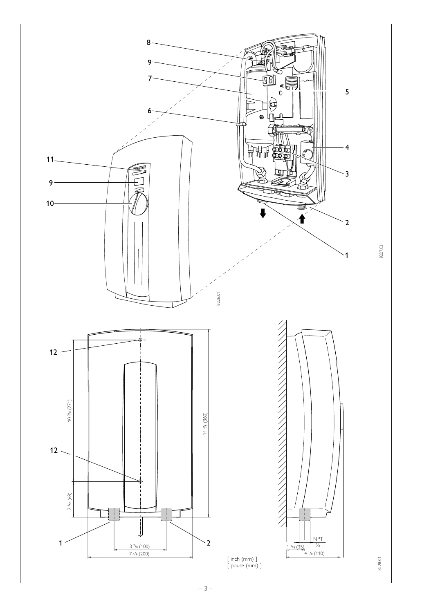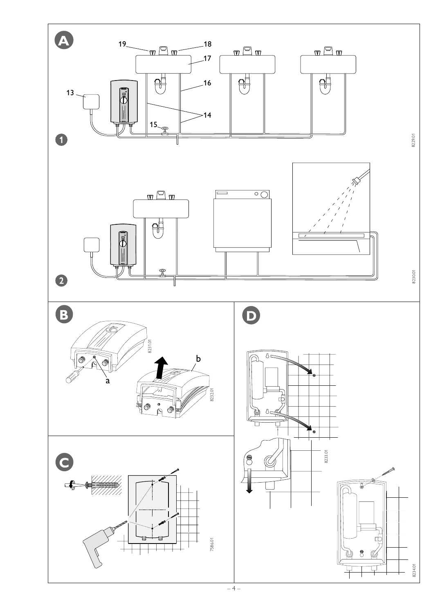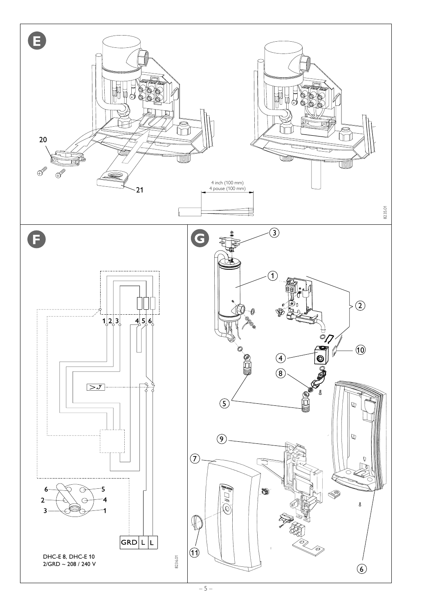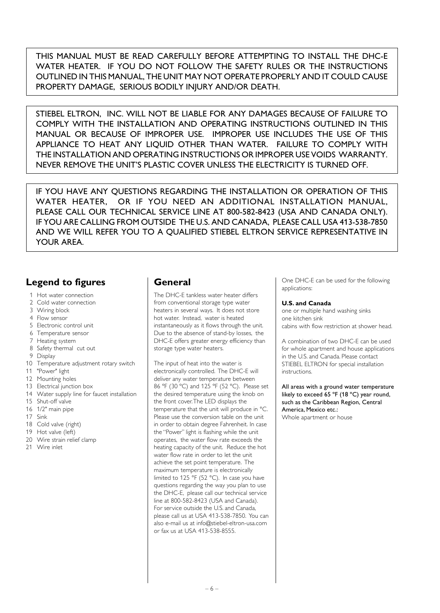THIS MANUAL MUST BE READ CAREFULLY BEFORE ATTEMPTING TO INSTALL THE DHC-E WATER HEATER. IF YOU DO NOT FOLLOW THE SAFETY RULES OR THE INSTRUCTIONS OUTLINED IN THIS MANUAL, THE UNIT MAY NOT OPERATE PROPERLY AND IT COULD CAUSE PROPERTY DAMAGE, SERIOUS BODILY INJURY AND/OR DEATH.

STIEBEL ELTRON, INC. WILL NOT BE LIABLE FOR ANY DAMAGES BECAUSE OF FAILURE TO COMPLY WITH THE INSTALLATION AND OPERATING INSTRUCTIONS OUTLINED IN THIS MANUAL OR BECAUSE OF IMPROPER USE. IMPROPER USE INCLUDES THE USE OF THIS APPLIANCE TO HEAT ANY LIQUID OTHER THAN WATER. FAILURE TO COMPLY WITH THE INSTALLATION AND OPERATING INSTRUCTIONS OR IMPROPER USE VOIDS WARRANTY. NEVER REMOVE THE UNIT'S PLASTIC COVER UNLESS THE ELECTRICITY IS TURNED OFF.

IF YOU HAVE ANY QUESTIONS REGARDING THE INSTALLATION OR OPERATION OF THIS WATER HEATER, OR IF YOU NEED AN ADDITIONAL INSTALLATION MANUAL, PLEASE CALL OUR TECHNICAL SERVICE LINE AT 800-582-8423 (USA AND CANADA ONLY). IF YOU ARE CALLING FROM OUTSIDE THE U.S. AND CANADA, PLEASE CALL USA 413-538-7850 AND WE WILL REFER YOU TO A QUALIFIED STIEBEL ELTRON SERVICE REPRESENTATIVE IN YOUR AREA.

## **Legend to figures**

- 1 Hot water connection
- 2 Cold water connection
- 3 Wiring block
- 4 Flow sensor
- 5 Electronic control unit
- 6 Temperature sensor
- 7 Heating system
- 8 Safety thermal cut out
- 9 Display
- 10 Temperature adjustment rotary switch
- 11 "Power" light
- 12 Mounting holes
- 13 Electrical junction box
- 14 Water supply line for faucet installation
- 15 Shut-off valve
- 16 1/2" main pipe
- 17 Sink
- 18 Cold valve (right)
- 19 Hot valve (left)
- 20 Wire strain relief clamp
- 21 Wire inlet

### **General**

The DHC-E tankless water heater differs from conventional storage type water heaters in several ways. It does not store hot water. Instead, water is heated instantaneously as it flows through the unit. Due to the absence of stand-by losses, the DHC-E offers greater energy efficiency than storage type water heaters.

The input of heat into the water is electronically controlled. The DHC-E will deliver any water temperature between 86 ºF (30 ºC) and 125 ºF (52 ºC). Please set the desired temperature using the knob on the front cover. The LED displays the temperature that the unit will produce in °C. Please use the conversion table on the unit in order to obtain degree Fahrenheit. In case the "Power" light is flashing while the unit operates, the water flow rate exceeds the heating capacity of the unit. Reduce the hot water flow rate in order to let the unit achieve the set point temperature. The maximum temperature is electronically limited to 125 °F (52 °C). In case you have questions regarding the way you plan to use the DHC-E, please call our technical service line at 800-582-8423 (USA and Canada). For service outside the U.S. and Canada, please call us at USA 413-538-7850. You can also e-mail us at info@stiebel-eltron-usa.com or fax us at USA 413-538-8555.

One DHC-E can be used for the following applications:

#### **U.S. and Canada**

one or multiple hand washing sinks one kitchen sink cabins with flow restriction at shower head.

A combination of two DHC-E can be used for whole apartment and house applications in the U.S. and Canada. Please contact STIEBEL ELTRON for special installation instructions.

All areas with a ground water temperature likely to exceed 65 ºF (18 ºC) year round, such as the Caribbean Region, Central America, Mexico etc.: Whole apartment or house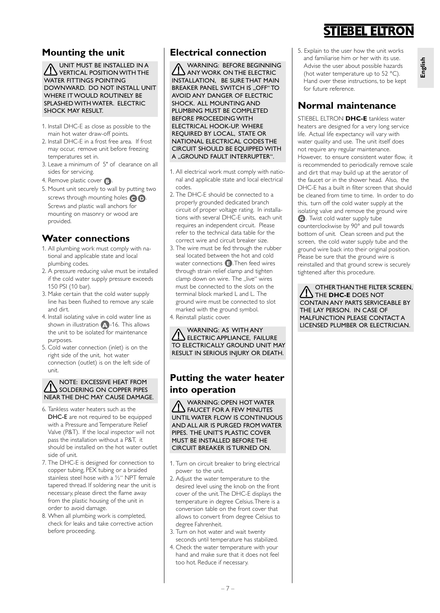# STIEBEL ELTRON

**English**

# **Mounting the unit**

UNIT MUST BE INSTALLED IN A VERTICAL POSITION WITH THE WATER FITTINGS POINTING DOWNWARD. DO NOT INSTALL UNIT WHERE IT WOULD ROUTINELY BE SPLASHED WITH WATER. ELECTRIC SHOCK MAY RESULT.

- 1. Install DHC-E as close as possible to the main hot water draw-off points.
- 2. Install DHC-E in a frost free area. If frost may occur, remove unit before freezing temperatures set in.
- 3. Leave a minimum of 5" of clearance on all sides for servicing.
- 4. Remove plastic cover  $\bullet$
- 5. Mount unit securely to wall by putting two screws through mounting holes  $\bigodot$   $\bigodot$ . Screws and plastic wall anchors for mounting on masonry or wood are provided.

# **Water connections**

- 1. All plumbing work must comply with national and applicable state and local plumbing codes.
- 2. A pressure reducing valve must be installed if the cold water supply pressure exceeds 150 PSI (10 bar).
- 3. Make certain that the cold water supply line has been flushed to remove any scale and dirt.
- 4. Install isolating valve in cold water line as shown in illustration  $\blacktriangle$  -16. This allows the unit to be isolated for maintenance purposes.
- 5. Cold water connection (inlet) is on the right side of the unit, hot water connection (outlet) is on the left side of unit.

#### NOTE: EXCESSIVE HEAT FROM  $\blacktriangle$  SOLDERING ON COPPER PIPES NEAR THE DHC MAY CAUSE DAMAGE.

- 6. Tankless water heaters such as the DHC-E are not required to be equipped with a Pressure and Temperature Relief Valve (P&T). If the local inspector will not pass the installation without a P&T, it should be installed on the hot water outlet side of unit.
- 7. The DHC-E is designed for connection to copper tubing, PEX tubing or a braided stainless steel hose with a ½" NPT female tapered thread. If soldering near the unit is necessary, please direct the flame away from the plastic housing of the unit in order to avoid damage.
- 8. When all plumbing work is completed, check for leaks and take corrective action before proceeding.

# **Electrical connection**

WARNING: BEFORE BEGINNING ANY WORK ON THE ELECTRIC INSTALLATION, BE SURE THAT MAIN BREAKER PANEL SWITCH IS "OFF" TO AVOID ANY DANGER OF ELECTRIC SHOCK. ALL MOUNTING AND PLUMBING MUST BE COMPLETED BEFORE PROCEEDING WITH ELECTRICAL HOOK-UP. WHERE REQUIRED BY LOCAL, STATE OR NATIONAL ELECTRICAL CODES THE CIRCUIT SHOULD BE EQUIPPED WITH A "GROUND FAULT INTERRUPTER".

- 1. All electrical work must comply with national and applicable state and local electrical codes.
- 2. The DHC-E should be connected to a properly grounded dedicated branch circuit of proper voltage rating. In installations with several DHC-E units, each unit requires an independent circuit. Please refer to the technical data table for the correct wire and circuit breaker size.
- 3. The wire must be fed through the rubber seal located between the hot and cold water connections  $\blacksquare$ . Then feed wires through strain relief clamp and tighten clamp down on wire. The "live" wires must be connected to the slots on the terminal block marked L and L. The ground wire must be connected to slot marked with the ground symbol.
- 4. Reinstall plastic cover.

WARNING: AS WITH ANY **ELECTRIC APPLIANCE, FAILURE** TO ELECTRICALLY GROUND UNIT MAY RESULT IN SERIOUS INJURY OR DEATH.

# **Putting the water heater into operation**

WARNING: OPEN HOT WATER FAUCET FOR A FEW MINUTES UNTIL WATER FLOW IS CONTINUOUS AND ALL AIR IS PURGED FROM WATER PIPES. THE UNIT'S PLASTIC COVER MUST BE INSTALLED BEFORE THE CIRCUIT BREAKER IS TURNED ON.

- 1. Turn on circuit breaker to bring electrical power to the unit.
- 2. Adjust the water temperature to the desired level using the knob on the front cover of the unit. The DHC-E displays the temperature in degree Celsius. There is a conversion table on the front cover that allows to convert from degree Celsius to degree Fahrenheit.
- 3. Turn on hot water and wait twenty seconds until temperature has stabilized.
- 4. Check the water temperature with your hand and make sure that it does not feel too hot. Reduce if necessary.

5. Explain to the user how the unit works and familiarise him or her with its use. Advise the user about possible hazards (hot water temperature up to 52 °C). Hand over these instructions, to be kept for future reference.

# **Normal maintenance**

STIEBEL ELTRON **DHC-E** tankless water heaters are designed for a very long service life. Actual life expectancy will vary with water quality and use. The unit itself does not require any regular maintenance. However, to ensure consistent water flow, it is recommended to periodically remove scale and dirt that may build up at the aerator of the faucet or in the shower head. Also, the DHC-E has a built in filter screen that should be cleaned from time to time. In order to do this, turn off the cold water supply at the isolating valve and remove the ground wire . Twist cold water supply tube counterclockwise by 90° and pull towards bottom of unit. Clean screen and put the screen, the cold water supply tube and the ground wire back into their original position. Please be sure that the ground wire is reinstalled and that ground screw is securely tightened after this procedure.

OTHER THAN THE FILTER SCREEN, **IN THE DHC-E** DOES NOT CONTAIN ANY PARTS SERVICEABLE BY THE LAY PERSON. IN CASE OF MALFUNCTION PLEASE CONTACT A LICENSED PLUMBER OR ELECTRICIAN.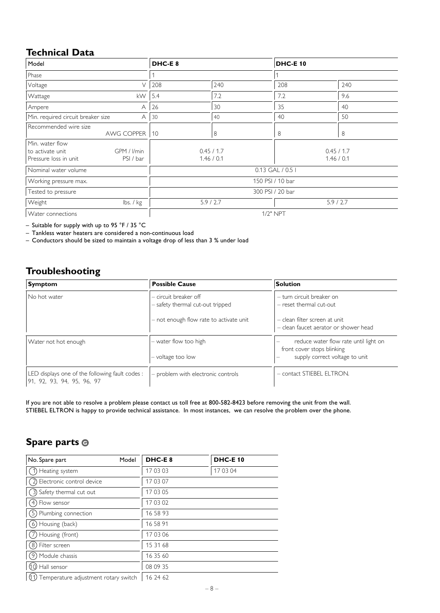# **Technical Data**

| Model                                                        |                          |     | DHC-E8                 |                  | <b>DHC-E 10</b>        |  |  |
|--------------------------------------------------------------|--------------------------|-----|------------------------|------------------|------------------------|--|--|
| Phase                                                        |                          |     |                        |                  |                        |  |  |
| Voltage                                                      |                          | 208 | 240                    | 208              | 240                    |  |  |
| Wattage                                                      | kW                       | 5.4 | 7.2                    | 7.2              | 9.6                    |  |  |
| Ampere                                                       | $\wedge$                 |     | 30                     | 35               | 40                     |  |  |
| Min. required circuit breaker size<br>A <sub>1</sub>         |                          | 30  | 40                     | 40               | 50                     |  |  |
| Recommended wire size                                        | AWG COPPER   10          |     | 8                      | 8                | 8                      |  |  |
| Min. water flow<br>to activate unit<br>Pressure loss in unit | GPM / I/min<br>PSI / bar |     | 0.45/1.7<br>1.46 / 0.1 |                  | 0.45/1.7<br>1.46 / 0.1 |  |  |
| Nominal water volume                                         |                          |     |                        | 0.13 GAL / 0.5 I |                        |  |  |
| Working pressure max.                                        |                          |     |                        | 150 PSI / 10 bar |                        |  |  |
| Tested to pressure                                           |                          |     |                        | 300 PSI / 20 bar |                        |  |  |
| Weight                                                       | lbs. / kg                |     | 5.9 / 2.7              |                  | 5.9 / 2.7              |  |  |
| Water connections                                            |                          |     |                        | $1/2"$ NPT       |                        |  |  |

– Suitable for supply with up to 95 °F / 35 °C

– Tankless water heaters are considered a non-continuous load

– Conductors should be sized to maintain a voltage drop of less than 3 % under load

# **Troubleshooting**

| <b>Symptom</b>                                                                 | <b>Possible Cause</b>                                     | Solution                                                                |  |
|--------------------------------------------------------------------------------|-----------------------------------------------------------|-------------------------------------------------------------------------|--|
| No hot water                                                                   | - circuit breaker off<br>- safety thermal cut-out tripped | - tum circuit breaker on<br>$-$ reset thermal cut-out.                  |  |
|                                                                                | - not enough flow rate to activate unit                   | - clean filter screen at unit.<br>- clean faucet aerator or shower head |  |
| Water not hot enough                                                           | - water flow too high                                     | reduce water flow rate until light on<br>front cover stops blinking     |  |
|                                                                                | $-$ voltage too low                                       | supply correct voltage to unit<br>$\overline{\phantom{a}}$              |  |
| LED displays one of the following fault codes :<br> 91, 92, 93, 94, 95, 96, 97 | problem with electronic controls                          | - contact STIEBEL ELTRON.                                               |  |

If you are not able to resolve a problem please contact us toll free at 800-582-8423 before removing the unit from the wall. STIEBEL ELTRON is happy to provide technical assistance. In most instances, we can resolve the problem over the phone.

## **Spare parts**

| No. Spare part            | Model | DHC-E8   | <b>DHC-E 10</b> |
|---------------------------|-------|----------|-----------------|
| Heating system            |       | 17 03 03 | 17 03 04        |
| Electronic control device |       | 17 03 07 |                 |
| 3) Safety thermal cut out |       | 17 03 05 |                 |
| Flow sensor               |       | 17 03 02 |                 |
| (5) Plumbing connection   |       | 16 58 93 |                 |
| (6) Housing (back)        |       | 16 58 91 |                 |
| Housing (front)           |       | 17 03 06 |                 |
| Filter screen<br>(8)      |       | 15 31 68 |                 |
| Module chassis<br>(9)     |       | 16 35 60 |                 |
| Hall sensor               |       | 08 09 35 |                 |
| $(A +$                    |       | 1122122  |                 |

| (11) Temperature adjustment rotary switch | 16 24 62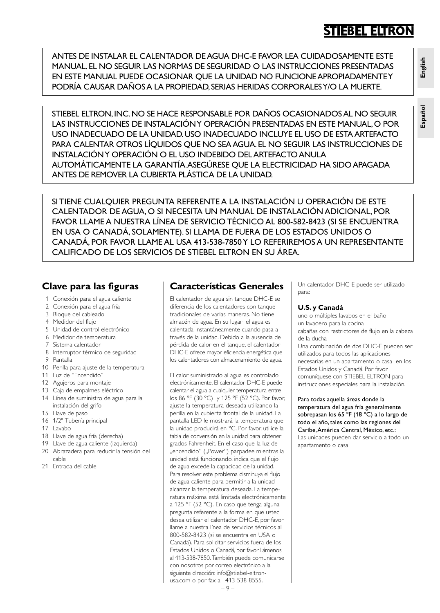# **STIEBEL ELTRON**

ANTES DE INSTALAR EL CALENTADOR DE AGUA DHC-E FAVOR LEA CUIDADOSAMENTE ESTE MANUAL. EL NO SEGUIR LAS NORMAS DE SEGURIDAD O LAS INSTRUCCIONES PRESENTADAS EN ESTE MANUAL PUEDE OCASIONAR QUE LA UNIDAD NO FUNCIONE APROPIADAMENTE Y PODRÍA CAUSAR DAÑOS A LA PROPIEDAD, SERIAS HERIDAS CORPORALES Y/O LA MUERTE.

STIEBEL ELTRON, INC. NO SE HACE RESPONSABLE POR DAÑOS OCASIONADOS AL NO SEGUIR LAS INSTRUCCIONES DE INSTALACIÓN Y OPERACIÓN PRESENTADAS EN ESTE MANUAL, O POR USO INADECUADO DE LA UNIDAD. USO INADECUADO INCLUYE EL USO DE ESTA ARTEFACTO PARA CALENTAR OTROS LÍQUIDOS QUE NO SEA AGUA. EL NO SEGUIR LAS INSTRUCCIONES DE INSTALACIÓN Y OPERACIÓN O EL USO INDEBIDO DEL ARTEFACTO ANULA AUTOMÁTICAMENTE LA GARANTÍA. ASEGÚRESE QUE LA ELECTRICIDAD HA SIDO APAGADA ANTES DE REMOVER LA CUBIERTA PLÁSTICA DE LA UNIDAD.

SI TIENE CUALQUIER PREGUNTA REFERENTE A LA INSTALACIÓN U OPERACIÓN DE ESTE CALENTADOR DE AGUA, O SI NECESITA UN MANUAL DE INSTALACIÓN ADICIONAL, POR FAVOR LLAME A NUESTRA LÍNEA DE SERVICIO TÉCNICO AL 800-582-8423 (SI SE ENCUENTRA EN USA O CANADÁ, SOLAMENTE). SI LLAMA DE FUERA DE LOS ESTADOS UNIDOS O CANADÁ, POR FAVOR LLAME AL USA 413-538-7850 Y LO REFERIREMOS A UN REPRESENTANTE CALIFICADO DE LOS SERVICIOS DE STIEBEL ELTRON EN SU ÁREA.

## **Clave para las figuras**

- 1 Conexión para el agua caliente
- 2 Conexión para el agua fría
- 3 Bloque del cableado
- 4 Medidor del flujo
- 5 Unidad de control electrónico
- 6 Medidor de temperatura
- 7 Sistema calentador
- 8 Interruptor térmico de seguridad
- 9 Pantalla
- 10 Perilla para ajuste de la temperatura
- 11 Luz de "Encendido"
- 12 Agujeros para montaje
- 13 Caja de empalmes eléctrico
- 14 Línea de suministro de agua para la instalación del grifo
- 15 Llave de paso
- 16 1/2" Tubería principal
- 17 Lavabo
- 18 Llave de agua fría (derecha)
- 19 Llave de agua caliente (izquierda) 20 Abrazadera para reducir la tensión del cable
- 21 Entrada del cable

## **Características Generales**

El calentador de agua sin tanque DHC-E se diferencia de los calentadores con tanque tradicionales de varias maneras. No tiene almacén de agua. En su lugar el agua es calentada instantáneamente cuando pasa a través de la unidad. Debido a la ausencia de pérdida de calor en el tanque, el calentador DHC-E ofrece mayor eficiencia energética que los calentadores con almacenamiento de agua.

El calor suministrado al agua es controlado electrónicamente. El calentador DHC-E puede calentar el agua a cualquier temperatura entre los 86 ºF (30 ºC) y 125 ºF (52 ºC). Por favor, ajuste la temperatura deseada utilizando la perilla en la cubierta frontal de la unidad. La pantalla LED le mostrará la temperatura que la unidad producirá en °C. Por favor, utilice la tabla de conversión en la unidad para obtener grados Fahrenheit. En el caso que la luz de "encendido" ("Power") parpadee mientras la unidad está funcionando, indica que el flujo de agua excede la capacidad de la unidad. Para resolver este problema disminuya el flujo de agua caliente para permitir a la unidad alcanzar la temperatura deseada. La temperatura máxima está limitada electrónicamente a 125 °F (52 °C). En caso que tenga alguna pregunta referente a la forma en que usted desea utilizar el calentador DHC-E, por favor llame a nuestra línea de servicios técnicos al 800-582-8423 (si se encuentra en USA o Canadá). Para solicitar servicios fuera de los Estados Unidos o Canadá, por favor llámenos al 413-538-7850. También puede comunicarse con nosotros por correo electrónico a la siguiente dirección: info@stiebel-eltronusa.com o por fax al 413-538-8555.

Un calentador DHC-E puede ser utilizado para:

#### **U.S. y Canadá**

uno o múltiples lavabos en el baño un lavadero para la cocina cabañas con restrictores de flujo en la cabeza de la ducha Una combinación de dos DHC-E pueden ser utilizados para todos las aplicaciones necesarias en un apartamento o casa en los Estados Unidos y Canadá. Por favor comuníquese con STIEBEL ELTRON para instrucciones especiales para la instalación.

Para todas aquella áreas donde la temperatura del agua fría generalmente sobrepasan los 65 ºF (18 ºC) a lo largo de todo el año, tales como las regiones del Caribe, América Central, México, etc.: Las unidades pueden dar servicio a todo un apartamento o casa

**Español**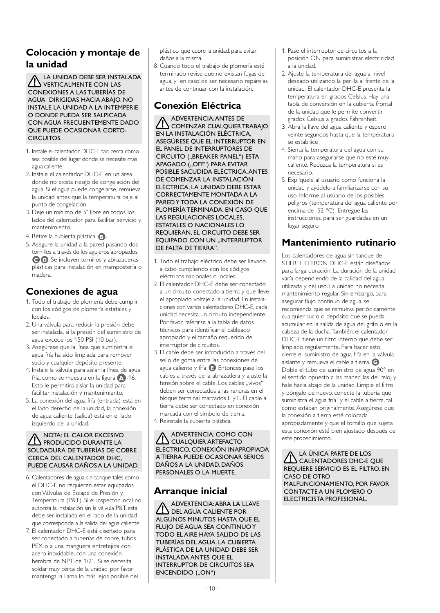# **Colocación y montaje de la unidad**

LA UNIDAD DEBE SER INSTALADA LA UNIDAD BESE SERVICES CONEXIONES A LAS TUBERÍAS DE AGUA DIRIGIDAS HACIA ABAJO. NO INSTALE LA UNIDAD A LA INTEMPERIE O DONDE PUEDA SER SALPICADA CON AGUA FRECUENTEMENTE DADO QUE PUEDE OCASIONAR CORTO-**CIRCUITOS** 

- 1. Instale el calentador DHC-E tan cerca como sea posible del lugar donde se necesite más agua caliente.
- 2. Instale el calentador DHC-E en un área donde no exista riesgo de congelación del agua. Si el agua puede congelarse, remueva la unidad antes que la temperatura baje al punto de congelación.
- 3. Deje un mínimo de 5" libre en todos los lados del calentador para facilitar servicio y mantenimiento.
- 4. Retire la cubierta plástica. B.
- 5. Asegure la unidad a la pared pasando dos tornillos a través de los agujeros apropiados. **OD**. Se incluyen tornillos y abrazaderas plásticas para instalación en mampostería o madera.

# **Conexiones de agua**

- 1. Todo el trabajo de plomería debe cumplir con los códigos de plomería estatales y locales.
- 2. Una válvula para reducir la presión debe ser instalada, si la presión del suministro de agua excede los 150 PSI (10 bar).
- 3. Asegúrese que la línea que suministra el agua fría ha sido limpiada para remover sucio y cualquier depósito presente.
- 4. Instale la válvula para aislar la línea de agua fría, como se muestra en la figura  $\blacktriangle$ -16. Esto le permitirá aislar la unidad para facilitar instalación y mantenimiento.
- 5. La conexión del agua fría (entrada) está en el lado derecho de la unidad, la conexión de agua caliente (salida) está en el lado izquierdo de la unidad.

#### NOTA: EL CALOR EXCESIVO AND PRODUCIDO DURANTE LA SOLDADURA DE TUBERÍAS DE COBRE CERCA DEL CALENTADOR DHC, PUEDE CAUSAR DAÑOS A LA UNIDAD.

- 6. Calentadores de agua sin tanque tales como el DHC-E no requieren estar equipados con Válvulas de Escape de Presión y Temperatura (P&T). Si el inspector local no autoriza la instalación sin la válvula P&T, esta debe ser instalada en el lado de la unidad que corresponde a la salida del agua caliente.
- 7. El calentador DHC-E está diseñado para ser conectado a tuberías de cobre, tubos PEX o a una manguera entretejida con acero inoxidable, con una conexión hembra de NPT de 1/2". Si se necesita soldar muy cerca de la unidad, por favor mantenga la llama lo más lejos posible del

plástico que cubre la unidad, para evitar .<br>daños a la misma.

8. Cuando todo el trabajo de plomería esté terminado revise que no existan fugas de agua, y en caso de ser necesario repárelas antes de continuar con la instalación.

# **Conexión Eléctrica**

ADVERTENCIA; ANTES DE COMENZAR CUALQUIER TRABAJO EN LA INSTALACIÓN ELÉCTRICA, ASEGÚRESE QUE EL INTERRUPTOR EN EL PANEL DE INTERRUPTORES DE CIRCUITO ("BREAKER PANEL") ESTA APAGADO ("OFF") PARA EVITAR POSIBLE SACUDIDA ELÉCTRICA. ANTES DE COMENZAR LA INSTALACIÓN ELÉCTRICA, LA UNIDAD DEBE ESTAR CORRECTAMENTE MONTADA A LA PARED Y TODA LA CONEXIÓN DE PLOMERÍA TERMINADA. EN CASO QUE LAS REGULACIONES LOCALES, ESTATALES O NACIONALES LO REQUIERAN, EL CIRCUITO DEBE SER EQUIPADO CON UN "INTERRUPTOR DE FALTA DE TIERRA".

- 1. Todo el trabajo eléctrico debe ser llevado a cabo cumpliendo con los códigos eléctricos nacionales o locales.
- 2. El calentador DHC-E debe ser conectado a un circuito conectado a tierra y que lleve el apropiado voltaje a la unidad. En instalaciones con varios calentadores DHC-E, cada unidad necesita un circuito independiente. Por favor referirse a la tabla de datos técnicos para identificar el cableado apropiado y el tamaño requerido del interruptor de circuitos.
- 3. El cable debe ser introducido a través del sello de goma entre las conexiones de agua caliente y fría Entonces pase los cables a través de la abrazadera y ajuste la tensión sobre el cable. Los cables "vivos" deben ser conectados a las ranuras en el bloque terminal marcados L y L. El cable a tierra debe ser conectado en conexión marcada con el símbolo de tierra. 4. Reinstale la cubierta plástica.

ADVERTENCIA: COMO CON CUALQUIER ARTEFACTO ELÉCTRICO, CONEXIÓN INAPROPIADA A TIERRA PUEDE OCASIONAR SERIOS DAÑOS A LA UNIDAD, DAÑOS PERSONALES O LA MUERTE.

# **Arranque inicial**

ADVERTENCIA: ABRA LA LLAVE DEL AGUA CALIENTE POR ALGUNOS MINUTOS HASTA QUE EL FLUJO DE AGUA SEA CONTINUO Y TODO EL AIRE HAYA SALIDO DE LAS TUBERÍAS DEL AGUA. LA CUBIERTA PLÁSTICA DE LA UNIDAD DEBE SER INSTALADA ANTES QUE EL INTERRUPTOR DE CIRCUITOS SEA ENCENDIDO ("ON")

- 1. Pase el interruptor de circuitos a la posición ON para suministrar electricidad a la unidad.
- 2. Ajuste la temperatura del agua al nivel deseado utilizando la perilla al frente de la unidad. El calentador DHC-E presenta la temperatura en grados Celsius. Hay una tabla de conversión en la cubierta frontal de la unidad que le permite convertir grados Celsius a grados Fahrenheit.
- 3. Abra la llave del agua caliente y espere veinte segundos hasta que la temperatura se estabilice
- 4. Sienta la temperatura del agua con su mano para asegurarse que no esté muy caliente. Reduzca la temperatura si es necesario.
- 5. Explíquele al usuario como funciona la unidad y ayúdelo a familiarizarse con su uso. Informe al usuario de los posibles peligros (temperatura del agua caliente por encima de 52 °C). Entregue las instrucciones, para ser guardadas en un lugar seguro.

# **Mantenimiento rutinario**

Los calentadores de agua sin tanque de STIEBEL ELTRON DHC-E están diseñados para larga duración. La duración de la unidad varía dependiendo de la calidad del agua utilizada y del uso. La unidad no necesita mantenimiento regular. Sin embargo, para asegurar flujo continuo de agua, se recomienda que se remueva periódicamente cualquier sucio o depósito que se pueda acumular en la salida de agua del grifo o en la cabeza de la ducha. También, el calentador DHC-E tiene un filtro interno que debe ser limpiado regularmente. Para hacer esto, cierre el suministro de agua fría en la válvula aislante y remueva el cable a tierra.  $\bigodot$ . Doble el tubo de suministro de agua 90° en el sentido opuesto a las manecillas del reloj y hale hacia abajo de la unidad. Limpie el filtro y póngalo de nuevo, conecte la tubería que suministra el agua fría y el cable a tierra, tal como estaban originalmente. Asegúrese que la conexión a tierra esté colocada apropiadamente y que el tornillo que sujeta esta conexión esté bien ajustado después de este procedimiento.

LA ÚNICA PARTE DE LOS CALENTADORES DHC-E QUE REQUIERE SERVICIO ES EL FILTRO. EN CASO DE OTRO MALFUNCIONAMIENTO, POR FAVOR CONTACTE A UN PLOMERO O ELECTRICISTA PROFESIONAL.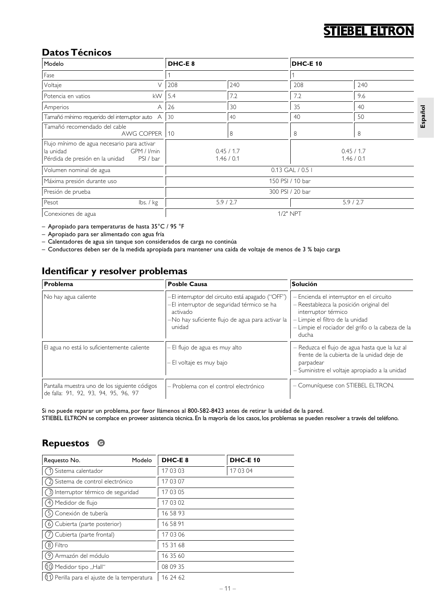# **STIEBEL ELTRO**

**Español**

## **Datos Técnicos**

| Modelo                                                                                                                  | DHC-E8      |                        |                  |                          |
|-------------------------------------------------------------------------------------------------------------------------|-------------|------------------------|------------------|--------------------------|
| Fase                                                                                                                    |             |                        |                  |                          |
| Voltaje                                                                                                                 | 208         | 240                    | 208              | 240                      |
| Potencia en vatios                                                                                                      | 5.4<br>$kW$ | 7.2                    | 7.2              | 9.6                      |
| Amperios                                                                                                                | 26<br>A     | 30                     | 35               | 40                       |
| Tamañó mínimo requerido del interruptor auto                                                                            | 30<br>AI    | 40                     | 40               | 50                       |
| Tamañó recomendado del cable<br>AWG COPPER   10                                                                         |             | 8                      | 8                | 8                        |
| Flujo mínimo de agua necesario para activar<br>la unidad<br>GPM / I/min<br>Pérdida de presión en la unidad<br>PSI / bar |             | 0.45/1.7<br>1.46 / 0.1 |                  | 0.45 / 1.7<br>1.46 / 0.1 |
| Volumen nominal de agua                                                                                                 |             |                        | 0.13 GAL / 0.5 I |                          |
| Máxima presión durante uso                                                                                              |             |                        | 150 PSI / 10 bar |                          |
| Presión de prueba                                                                                                       |             |                        | 300 PSI / 20 bar |                          |
| Pesot<br>lbs. / kg                                                                                                      |             | 5.9 / 2.7              |                  | 5.9 / 2.7                |
| Conexiones de agua                                                                                                      |             |                        | $1/2"$ NPT       |                          |

– Apropiado para temperaturas de hasta 35°C / 95 °F

– Apropiado para ser alimentado con agua fría

– Calentadores de agua sin tanque son considerados de carga no continúa

– Conductores deben ser de la medida apropiada para mantener una caída de voltaje de menos de 3 % bajo carga

# **Identificar y resolver problemas**

| Problema                                                                              | <b>Posble Causa</b>                                                                                                                                                       | <b>Solución</b>                                                                                                                                                                                            |
|---------------------------------------------------------------------------------------|---------------------------------------------------------------------------------------------------------------------------------------------------------------------------|------------------------------------------------------------------------------------------------------------------------------------------------------------------------------------------------------------|
| No hay agua caliente                                                                  | -El interruptor del circuito está apagado ("OFF")<br>-El interruptor de seguridad térmico se ha<br>activado<br>-No hay suficiente flujo de agua para activar la<br>unidad | - Encienda el interruptor en el circuito<br>- Reestablezca la posición original del<br>interruptor térmico<br>- Limpie el filtro de la unidad<br>- Limpie el rociador del grifo o la cabeza de la<br>ducha |
| El agua no está lo suficientemente caliente                                           | – El flujo de agua es muy alto<br>– El voltaje es muy bajo                                                                                                                | - Reduzca el flujo de agua hasta que la luz al<br>frente de la cubierta de la unidad deje de<br>parpadear<br>- Suministre el voltaje apropiado a la unidad                                                 |
| Pantalla muestra uno de los siguiente códigos<br>de falla: 91, 92, 93, 94, 95, 96, 97 | - Problema con el control electrónico                                                                                                                                     | - Comuníquese con STIEBEL ELTRON.                                                                                                                                                                          |

Si no puede reparar un problema, por favor llámenos al 800-582-8423 antes de retirar la unidad de la pared. STIEBEL ELTRON se complace en proveer asistencia técnica. En la mayoría de los casos, los problemas se pueden resolver a través del teléfono.

# **Repuestos**

| Modelo<br>Requesto No.                          | DHC-E8         | <b>DHC-E10</b> |  |
|-------------------------------------------------|----------------|----------------|--|
| Sistema calentador                              | 17 03 03       | 17 03 04       |  |
| Sistema de control electrónico                  | 17 03 07       |                |  |
| 3) Interruptor térmico de seguridad             | 17 03 05       |                |  |
| Medidor de flujo                                | 17 03 02       |                |  |
| (5) Conexión de tubería                         | 16 58 93       |                |  |
| (6) Cubierta (parte posterior)                  | 16 58 91       |                |  |
| Cubierta (parte frontal)                        | 170306         |                |  |
| (8) Filtro                                      | 15 31 68       |                |  |
| (9) Armazón del módulo                          | 16 35 60       |                |  |
| (10) Medidor tipo "Hall"                        | 08 09 35       |                |  |
| $(11)$ Parilla para al ajusto de la temperatura | 16 JA 6 $\cap$ |                |  |

11 Perilla para el ajuste de la temperatura 16 24 62